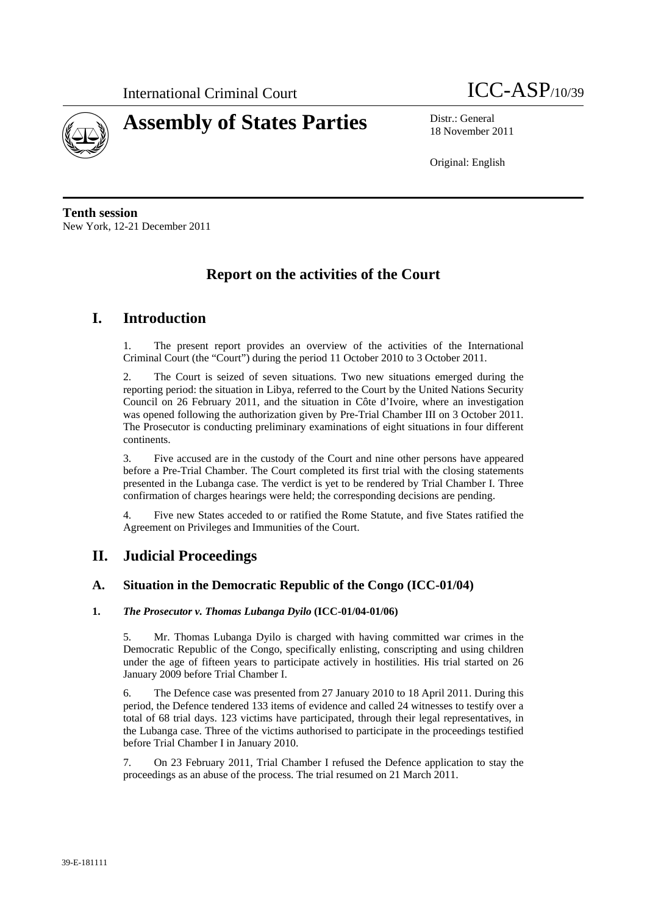



18 November 2011

Original: English

**Tenth session**  New York, 12-21 December 2011

# **Report on the activities of the Court**

# **I. Introduction**

1. The present report provides an overview of the activities of the International Criminal Court (the "Court") during the period 11 October 2010 to 3 October 2011.

2. The Court is seized of seven situations. Two new situations emerged during the reporting period: the situation in Libya, referred to the Court by the United Nations Security Council on 26 February 2011, and the situation in Côte d'Ivoire, where an investigation was opened following the authorization given by Pre-Trial Chamber III on 3 October 2011. The Prosecutor is conducting preliminary examinations of eight situations in four different continents.

3. Five accused are in the custody of the Court and nine other persons have appeared before a Pre-Trial Chamber. The Court completed its first trial with the closing statements presented in the Lubanga case. The verdict is yet to be rendered by Trial Chamber I. Three confirmation of charges hearings were held; the corresponding decisions are pending.

4. Five new States acceded to or ratified the Rome Statute, and five States ratified the Agreement on Privileges and Immunities of the Court.

# **II. Judicial Proceedings**

# **A. Situation in the Democratic Republic of the Congo (ICC-01/04)**

## **1.** *The Prosecutor v. Thomas Lubanga Dyilo* **(ICC-01/04-01/06)**

5. Mr. Thomas Lubanga Dyilo is charged with having committed war crimes in the Democratic Republic of the Congo, specifically enlisting, conscripting and using children under the age of fifteen years to participate actively in hostilities. His trial started on 26 January 2009 before Trial Chamber I.

6. The Defence case was presented from 27 January 2010 to 18 April 2011. During this period, the Defence tendered 133 items of evidence and called 24 witnesses to testify over a total of 68 trial days. 123 victims have participated, through their legal representatives, in the Lubanga case. Three of the victims authorised to participate in the proceedings testified before Trial Chamber I in January 2010.

7. On 23 February 2011, Trial Chamber I refused the Defence application to stay the proceedings as an abuse of the process. The trial resumed on 21 March 2011.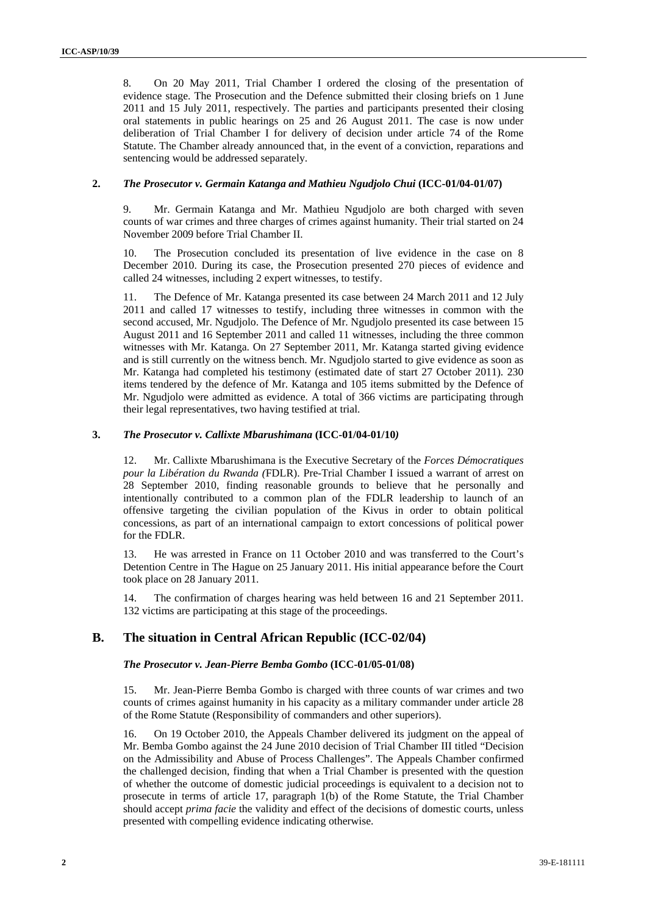8. On 20 May 2011, Trial Chamber I ordered the closing of the presentation of evidence stage. The Prosecution and the Defence submitted their closing briefs on 1 June 2011 and 15 July 2011, respectively. The parties and participants presented their closing oral statements in public hearings on 25 and 26 August 2011. The case is now under deliberation of Trial Chamber I for delivery of decision under article 74 of the Rome Statute. The Chamber already announced that, in the event of a conviction, reparations and sentencing would be addressed separately.

#### **2.** *The Prosecutor v. Germain Katanga and Mathieu Ngudjolo Chui* **(ICC-01/04-01/07)**

9. Mr. Germain Katanga and Mr. Mathieu Ngudjolo are both charged with seven counts of war crimes and three charges of crimes against humanity. Their trial started on 24 November 2009 before Trial Chamber II.

10. The Prosecution concluded its presentation of live evidence in the case on 8 December 2010. During its case, the Prosecution presented 270 pieces of evidence and called 24 witnesses, including 2 expert witnesses, to testify.

11. The Defence of Mr. Katanga presented its case between 24 March 2011 and 12 July 2011 and called 17 witnesses to testify, including three witnesses in common with the second accused, Mr. Ngudjolo. The Defence of Mr. Ngudjolo presented its case between 15 August 2011 and 16 September 2011 and called 11 witnesses, including the three common witnesses with Mr. Katanga. On 27 September 2011, Mr. Katanga started giving evidence and is still currently on the witness bench. Mr. Ngudjolo started to give evidence as soon as Mr. Katanga had completed his testimony (estimated date of start 27 October 2011). 230 items tendered by the defence of Mr. Katanga and 105 items submitted by the Defence of Mr. Ngudjolo were admitted as evidence. A total of 366 victims are participating through their legal representatives, two having testified at trial.

## **3.** *The Prosecutor v. Callixte Mbarushimana* **(ICC-01/04-01/10***)*

12. Mr. Callixte Mbarushimana is the Executive Secretary of the *Forces Démocratiques pour la Libération du Rwanda (*FDLR). Pre-Trial Chamber I issued a warrant of arrest on 28 September 2010, finding reasonable grounds to believe that he personally and intentionally contributed to a common plan of the FDLR leadership to launch of an offensive targeting the civilian population of the Kivus in order to obtain political concessions, as part of an international campaign to extort concessions of political power for the FDLR.

13. He was arrested in France on 11 October 2010 and was transferred to the Court's Detention Centre in The Hague on 25 January 2011. His initial appearance before the Court took place on 28 January 2011.

14. The confirmation of charges hearing was held between 16 and 21 September 2011. 132 victims are participating at this stage of the proceedings.

# **B. The situation in Central African Republic (ICC-02/04)**

## *The Prosecutor v. Jean-Pierre Bemba Gombo* **(ICC-01/05-01/08)**

15. Mr. Jean-Pierre Bemba Gombo is charged with three counts of war crimes and two counts of crimes against humanity in his capacity as a military commander under article 28 of the Rome Statute (Responsibility of commanders and other superiors).

16. On 19 October 2010, the Appeals Chamber delivered its judgment on the appeal of Mr. Bemba Gombo against the 24 June 2010 decision of Trial Chamber III titled "Decision on the Admissibility and Abuse of Process Challenges". The Appeals Chamber confirmed the challenged decision, finding that when a Trial Chamber is presented with the question of whether the outcome of domestic judicial proceedings is equivalent to a decision not to prosecute in terms of article 17, paragraph 1(b) of the Rome Statute, the Trial Chamber should accept *prima facie* the validity and effect of the decisions of domestic courts, unless presented with compelling evidence indicating otherwise.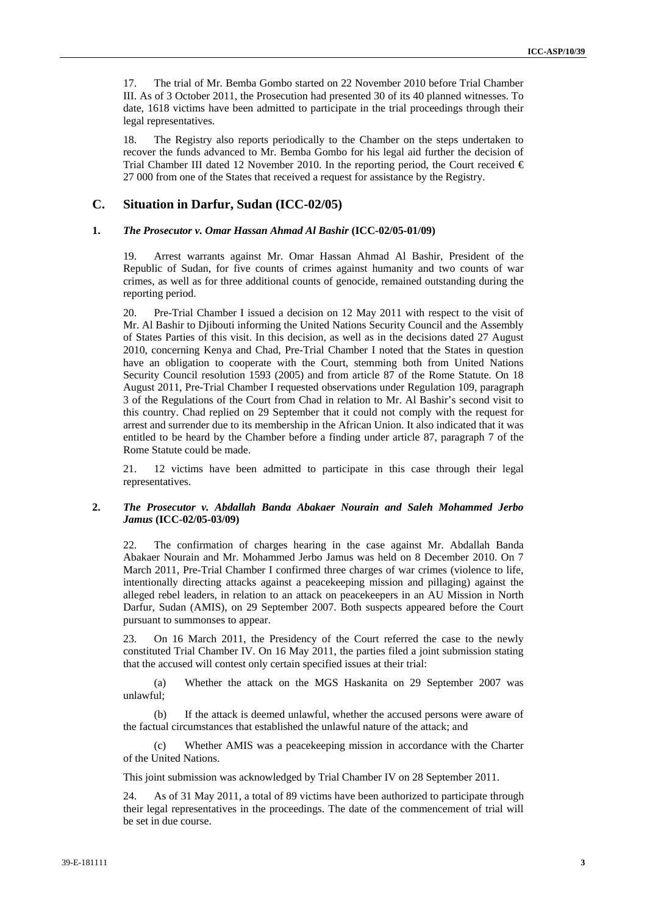17. The trial of Mr. Bemba Gombo started on 22 November 2010 before Trial Chamber III. As of 3 October 2011, the Prosecution had presented 30 of its 40 planned witnesses. To date, 1618 victims have been admitted to participate in the trial proceedings through their legal representatives.

18. The Registry also reports periodically to the Chamber on the steps undertaken to recover the funds advanced to Mr. Bemba Gombo for his legal aid further the decision of Trial Chamber III dated 12 November 2010. In the reporting period, the Court received  $\epsilon$ 27 000 from one of the States that received a request for assistance by the Registry.

### **C. Situation in Darfur, Sudan (ICC-02/05)**

#### **1.** *The Prosecutor v. Omar Hassan Ahmad Al Bashir* **(ICC-02/05-01/09)**

19. Arrest warrants against Mr. Omar Hassan Ahmad Al Bashir, President of the Republic of Sudan, for five counts of crimes against humanity and two counts of war crimes, as well as for three additional counts of genocide, remained outstanding during the reporting period.

20. Pre-Trial Chamber I issued a decision on 12 May 2011 with respect to the visit of Mr. Al Bashir to Djibouti informing the United Nations Security Council and the Assembly of States Parties of this visit. In this decision, as well as in the decisions dated 27 August 2010, concerning Kenya and Chad, Pre-Trial Chamber I noted that the States in question have an obligation to cooperate with the Court, stemming both from United Nations Security Council resolution 1593 (2005) and from article 87 of the Rome Statute. On 18 August 2011, Pre-Trial Chamber I requested observations under Regulation 109, paragraph 3 of the Regulations of the Court from Chad in relation to Mr. Al Bashir's second visit to this country. Chad replied on 29 September that it could not comply with the request for arrest and surrender due to its membership in the African Union. It also indicated that it was entitled to be heard by the Chamber before a finding under article 87, paragraph 7 of the Rome Statute could be made.

21. 12 victims have been admitted to participate in this case through their legal representatives.

### **2.** *The Prosecutor v. Abdallah Banda Abakaer Nourain and Saleh Mohammed Jerbo Jamus* **(ICC-02/05-03/09)**

22. The confirmation of charges hearing in the case against Mr. Abdallah Banda Abakaer Nourain and Mr. Mohammed Jerbo Jamus was held on 8 December 2010. On 7 March 2011, Pre-Trial Chamber I confirmed three charges of war crimes (violence to life, intentionally directing attacks against a peacekeeping mission and pillaging) against the alleged rebel leaders, in relation to an attack on peacekeepers in an AU Mission in North Darfur, Sudan (AMIS), on 29 September 2007. Both suspects appeared before the Court pursuant to summonses to appear.

23. On 16 March 2011, the Presidency of the Court referred the case to the newly constituted Trial Chamber IV. On 16 May 2011, the parties filed a joint submission stating that the accused will contest only certain specified issues at their trial:

(a) Whether the attack on the MGS Haskanita on 29 September 2007 was unlawful;

(b) If the attack is deemed unlawful, whether the accused persons were aware of the factual circumstances that established the unlawful nature of the attack; and

(c) Whether AMIS was a peacekeeping mission in accordance with the Charter of the United Nations.

This joint submission was acknowledged by Trial Chamber IV on 28 September 2011.

24. As of 31 May 2011, a total of 89 victims have been authorized to participate through their legal representatives in the proceedings. The date of the commencement of trial will be set in due course.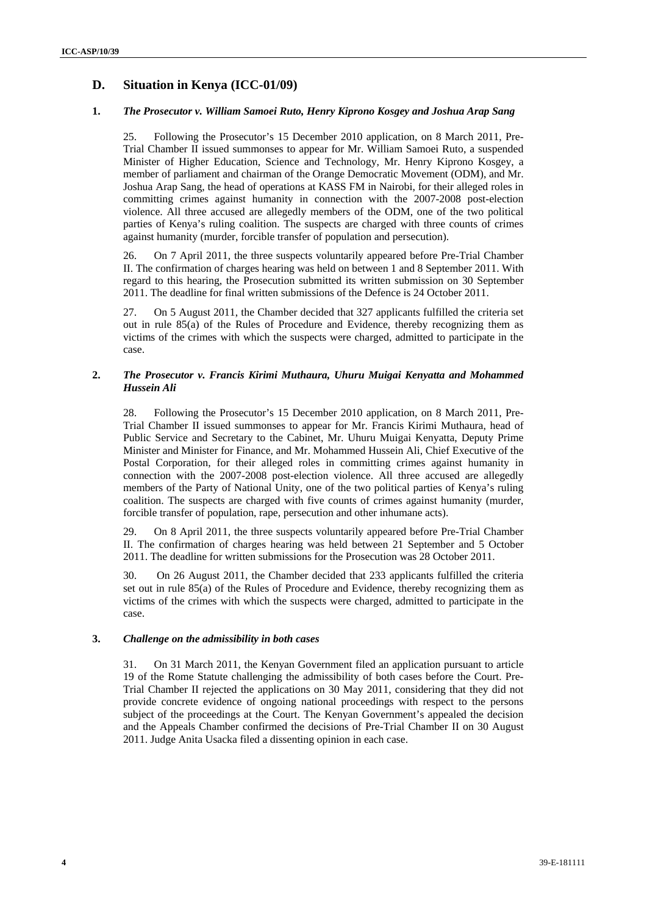# **D. Situation in Kenya (ICC-01/09)**

## **1.** *The Prosecutor v. William Samoei Ruto, Henry Kiprono Kosgey and Joshua Arap Sang*

25. Following the Prosecutor's 15 December 2010 application, on 8 March 2011, Pre-Trial Chamber II issued summonses to appear for Mr. William Samoei Ruto, a suspended Minister of Higher Education, Science and Technology, Mr. Henry Kiprono Kosgey, a member of parliament and chairman of the Orange Democratic Movement (ODM), and Mr. Joshua Arap Sang, the head of operations at KASS FM in Nairobi, for their alleged roles in committing crimes against humanity in connection with the 2007-2008 post-election violence. All three accused are allegedly members of the ODM, one of the two political parties of Kenya's ruling coalition. The suspects are charged with three counts of crimes against humanity (murder, forcible transfer of population and persecution).

26. On 7 April 2011, the three suspects voluntarily appeared before Pre-Trial Chamber II. The confirmation of charges hearing was held on between 1 and 8 September 2011. With regard to this hearing, the Prosecution submitted its written submission on 30 September 2011. The deadline for final written submissions of the Defence is 24 October 2011.

27. On 5 August 2011, the Chamber decided that 327 applicants fulfilled the criteria set out in rule 85(a) of the Rules of Procedure and Evidence, thereby recognizing them as victims of the crimes with which the suspects were charged, admitted to participate in the case.

# **2.** *The Prosecutor v. Francis Kirimi Muthaura, Uhuru Muigai Kenyatta and Mohammed Hussein Ali*

28. Following the Prosecutor's 15 December 2010 application, on 8 March 2011, Pre-Trial Chamber II issued summonses to appear for Mr. Francis Kirimi Muthaura, head of Public Service and Secretary to the Cabinet, Mr. Uhuru Muigai Kenyatta, Deputy Prime Minister and Minister for Finance, and Mr. Mohammed Hussein Ali, Chief Executive of the Postal Corporation, for their alleged roles in committing crimes against humanity in connection with the 2007-2008 post-election violence. All three accused are allegedly members of the Party of National Unity, one of the two political parties of Kenya's ruling coalition. The suspects are charged with five counts of crimes against humanity (murder, forcible transfer of population, rape, persecution and other inhumane acts).

29. On 8 April 2011, the three suspects voluntarily appeared before Pre-Trial Chamber II. The confirmation of charges hearing was held between 21 September and 5 October 2011. The deadline for written submissions for the Prosecution was 28 October 2011.

30. On 26 August 2011, the Chamber decided that 233 applicants fulfilled the criteria set out in rule 85(a) of the Rules of Procedure and Evidence, thereby recognizing them as victims of the crimes with which the suspects were charged, admitted to participate in the case.

## **3.** *Challenge on the admissibility in both cases*

31. On 31 March 2011, the Kenyan Government filed an application pursuant to article 19 of the Rome Statute challenging the admissibility of both cases before the Court. Pre-Trial Chamber II rejected the applications on 30 May 2011, considering that they did not provide concrete evidence of ongoing national proceedings with respect to the persons subject of the proceedings at the Court. The Kenyan Government's appealed the decision and the Appeals Chamber confirmed the decisions of Pre-Trial Chamber II on 30 August 2011. Judge Anita Usacka filed a dissenting opinion in each case.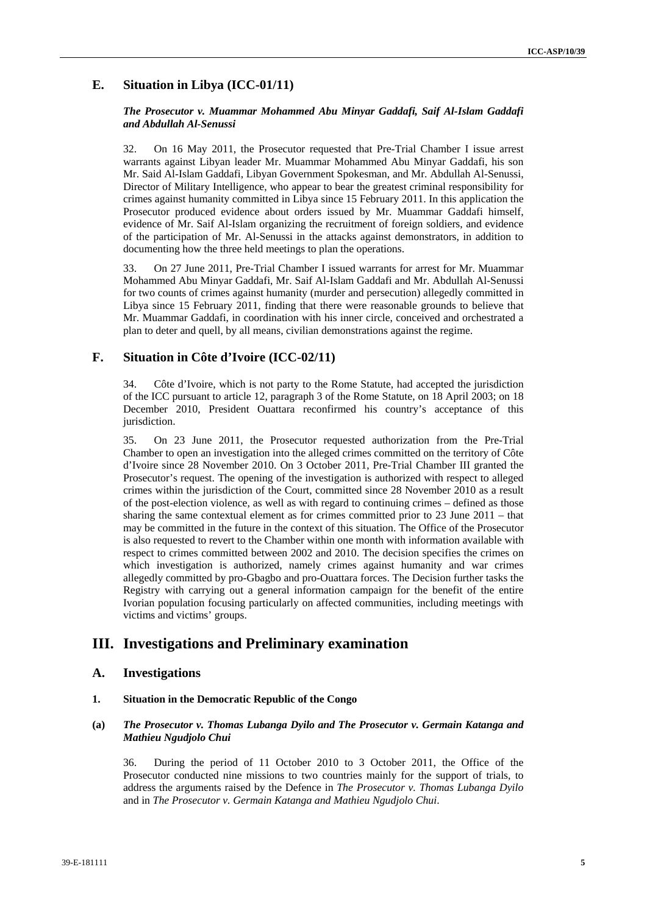# **E. Situation in Libya (ICC-01/11)**

#### *The Prosecutor v. Muammar Mohammed Abu Minyar Gaddafi, Saif Al-Islam Gaddafi and Abdullah Al-Senussi*

32. On 16 May 2011, the Prosecutor requested that Pre-Trial Chamber I issue arrest warrants against Libyan leader Mr. Muammar Mohammed Abu Minyar Gaddafi, his son Mr. Said Al-Islam Gaddafi, Libyan Government Spokesman, and Mr. Abdullah Al-Senussi, Director of Military Intelligence, who appear to bear the greatest criminal responsibility for crimes against humanity committed in Libya since 15 February 2011. In this application the Prosecutor produced evidence about orders issued by Mr. Muammar Gaddafi himself, evidence of Mr. Saif Al-Islam organizing the recruitment of foreign soldiers, and evidence of the participation of Mr. Al-Senussi in the attacks against demonstrators, in addition to documenting how the three held meetings to plan the operations.

33. On 27 June 2011, Pre-Trial Chamber I issued warrants for arrest for Mr. Muammar Mohammed Abu Minyar Gaddafi, Mr. Saif Al-Islam Gaddafi and Mr. Abdullah Al-Senussi for two counts of crimes against humanity (murder and persecution) allegedly committed in Libya since 15 February 2011, finding that there were reasonable grounds to believe that Mr. Muammar Gaddafi, in coordination with his inner circle, conceived and orchestrated a plan to deter and quell, by all means, civilian demonstrations against the regime.

# **F. Situation in Côte d'Ivoire (ICC-02/11)**

34. Côte d'Ivoire, which is not party to the Rome Statute, had accepted the jurisdiction of the ICC pursuant to article 12, paragraph 3 of the Rome Statute, on 18 April 2003; on 18 December 2010, President Ouattara reconfirmed his country's acceptance of this jurisdiction.

35. On 23 June 2011, the Prosecutor requested authorization from the Pre-Trial Chamber to open an investigation into the alleged crimes committed on the territory of Côte d'Ivoire since 28 November 2010. On 3 October 2011, Pre-Trial Chamber III granted the Prosecutor's request. The opening of the investigation is authorized with respect to alleged crimes within the jurisdiction of the Court, committed since 28 November 2010 as a result of the post-election violence, as well as with regard to continuing crimes – defined as those sharing the same contextual element as for crimes committed prior to 23 June 2011 – that may be committed in the future in the context of this situation. The Office of the Prosecutor is also requested to revert to the Chamber within one month with information available with respect to crimes committed between 2002 and 2010. The decision specifies the crimes on which investigation is authorized, namely crimes against humanity and war crimes allegedly committed by pro-Gbagbo and pro-Ouattara forces. The Decision further tasks the Registry with carrying out a general information campaign for the benefit of the entire Ivorian population focusing particularly on affected communities, including meetings with victims and victims' groups.

# **III. Investigations and Preliminary examination**

# **A. Investigations**

#### **1. Situation in the Democratic Republic of the Congo**

### **(a)** *The Prosecutor v. Thomas Lubanga Dyilo and The Prosecutor v. Germain Katanga and Mathieu Ngudjolo Chui*

36. During the period of 11 October 2010 to 3 October 2011, the Office of the Prosecutor conducted nine missions to two countries mainly for the support of trials, to address the arguments raised by the Defence in *The Prosecutor v. Thomas Lubanga Dyilo* and in *The Prosecutor v. Germain Katanga and Mathieu Ngudjolo Chui*.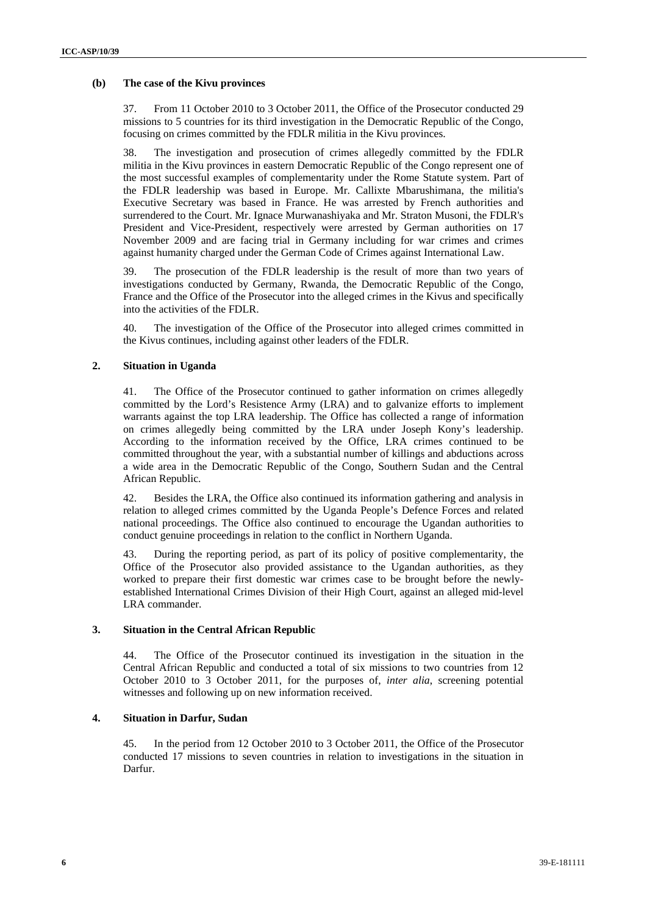#### **(b) The case of the Kivu provinces**

37. From 11 October 2010 to 3 October 2011, the Office of the Prosecutor conducted 29 missions to 5 countries for its third investigation in the Democratic Republic of the Congo, focusing on crimes committed by the FDLR militia in the Kivu provinces.

38. The investigation and prosecution of crimes allegedly committed by the FDLR militia in the Kivu provinces in eastern Democratic Republic of the Congo represent one of the most successful examples of complementarity under the Rome Statute system. Part of the FDLR leadership was based in Europe. Mr. Callixte Mbarushimana, the militia's Executive Secretary was based in France. He was arrested by French authorities and surrendered to the Court. Mr. Ignace Murwanashiyaka and Mr. Straton Musoni, the FDLR's President and Vice-President, respectively were arrested by German authorities on 17 November 2009 and are facing trial in Germany including for war crimes and crimes against humanity charged under the German Code of Crimes against International Law.

39. The prosecution of the FDLR leadership is the result of more than two years of investigations conducted by Germany, Rwanda, the Democratic Republic of the Congo, France and the Office of the Prosecutor into the alleged crimes in the Kivus and specifically into the activities of the FDLR.

40. The investigation of the Office of the Prosecutor into alleged crimes committed in the Kivus continues, including against other leaders of the FDLR.

## **2. Situation in Uganda**

41. The Office of the Prosecutor continued to gather information on crimes allegedly committed by the Lord's Resistence Army (LRA) and to galvanize efforts to implement warrants against the top LRA leadership. The Office has collected a range of information on crimes allegedly being committed by the LRA under Joseph Kony's leadership. According to the information received by the Office, LRA crimes continued to be committed throughout the year, with a substantial number of killings and abductions across a wide area in the Democratic Republic of the Congo, Southern Sudan and the Central African Republic.

42. Besides the LRA, the Office also continued its information gathering and analysis in relation to alleged crimes committed by the Uganda People's Defence Forces and related national proceedings. The Office also continued to encourage the Ugandan authorities to conduct genuine proceedings in relation to the conflict in Northern Uganda.

43. During the reporting period, as part of its policy of positive complementarity, the Office of the Prosecutor also provided assistance to the Ugandan authorities, as they worked to prepare their first domestic war crimes case to be brought before the newlyestablished International Crimes Division of their High Court, against an alleged mid-level LRA commander.

## **3. Situation in the Central African Republic**

44. The Office of the Prosecutor continued its investigation in the situation in the Central African Republic and conducted a total of six missions to two countries from 12 October 2010 to 3 October 2011, for the purposes of, *inter alia*, screening potential witnesses and following up on new information received.

## **4. Situation in Darfur, Sudan**

45. In the period from 12 October 2010 to 3 October 2011, the Office of the Prosecutor conducted 17 missions to seven countries in relation to investigations in the situation in Darfur.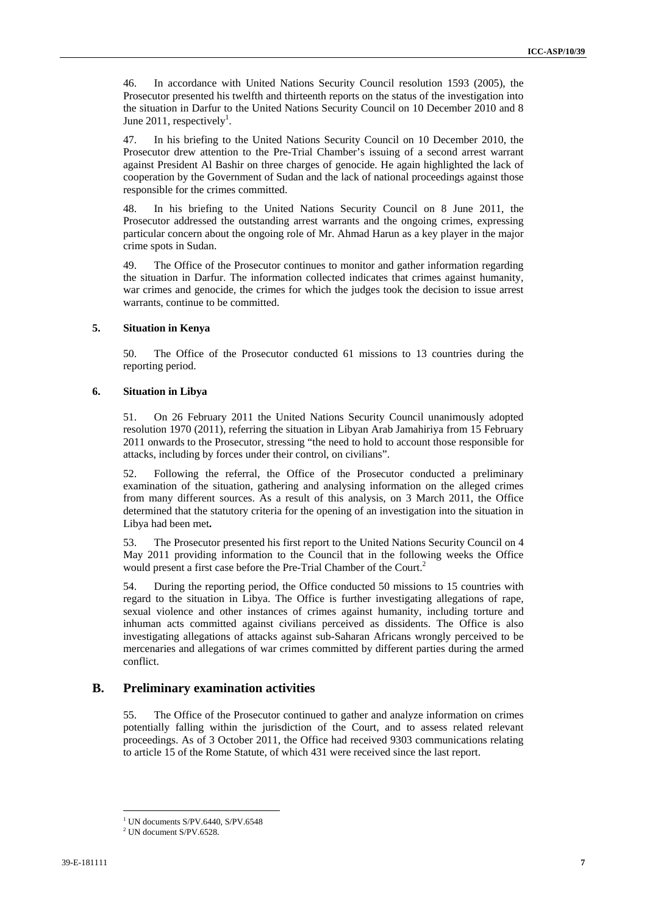46. In accordance with United Nations Security Council resolution 1593 (2005), the Prosecutor presented his twelfth and thirteenth reports on the status of the investigation into the situation in Darfur to the United Nations Security Council on 10 December 2010 and 8 June 2011, respectively<sup>1</sup>.

47. In his briefing to the United Nations Security Council on 10 December 2010, the Prosecutor drew attention to the Pre-Trial Chamber's issuing of a second arrest warrant against President Al Bashir on three charges of genocide. He again highlighted the lack of cooperation by the Government of Sudan and the lack of national proceedings against those responsible for the crimes committed.

48. In his briefing to the United Nations Security Council on 8 June 2011, the Prosecutor addressed the outstanding arrest warrants and the ongoing crimes, expressing particular concern about the ongoing role of Mr. Ahmad Harun as a key player in the major crime spots in Sudan.

49. The Office of the Prosecutor continues to monitor and gather information regarding the situation in Darfur. The information collected indicates that crimes against humanity, war crimes and genocide, the crimes for which the judges took the decision to issue arrest warrants, continue to be committed.

#### **5. Situation in Kenya**

50. The Office of the Prosecutor conducted 61 missions to 13 countries during the reporting period.

#### **6. Situation in Libya**

51. On 26 February 2011 the United Nations Security Council unanimously adopted resolution 1970 (2011), referring the situation in Libyan Arab Jamahiriya from 15 February 2011 onwards to the Prosecutor, stressing "the need to hold to account those responsible for attacks, including by forces under their control, on civilians".

52. Following the referral, the Office of the Prosecutor conducted a preliminary examination of the situation, gathering and analysing information on the alleged crimes from many different sources. As a result of this analysis, on 3 March 2011, the Office determined that the statutory criteria for the opening of an investigation into the situation in Libya had been met**.** 

53. The Prosecutor presented his first report to the United Nations Security Council on 4 May 2011 providing information to the Council that in the following weeks the Office would present a first case before the Pre-Trial Chamber of the Court.<sup>2</sup>

54. During the reporting period, the Office conducted 50 missions to 15 countries with regard to the situation in Libya. The Office is further investigating allegations of rape, sexual violence and other instances of crimes against humanity, including torture and inhuman acts committed against civilians perceived as dissidents. The Office is also investigating allegations of attacks against sub-Saharan Africans wrongly perceived to be mercenaries and allegations of war crimes committed by different parties during the armed conflict.

# **B. Preliminary examination activities**

55. The Office of the Prosecutor continued to gather and analyze information on crimes potentially falling within the jurisdiction of the Court, and to assess related relevant proceedings. As of 3 October 2011, the Office had received 9303 communications relating to article 15 of the Rome Statute, of which 431 were received since the last report.

<sup>&</sup>lt;sup>1</sup> UN documents S/PV.6440, S/PV.6548

 $2$  UN document S/PV.6528.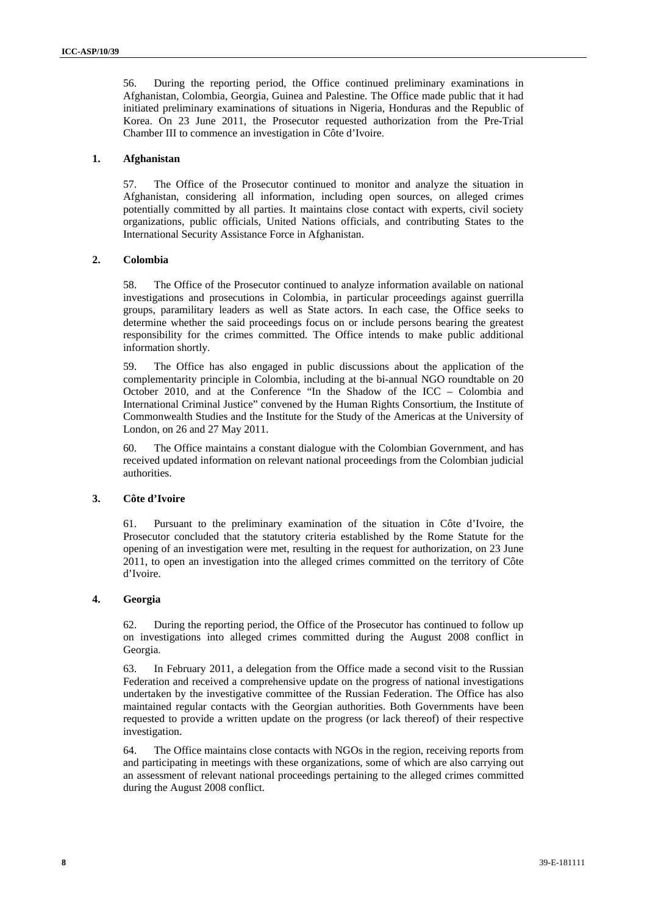56. During the reporting period, the Office continued preliminary examinations in Afghanistan, Colombia, Georgia, Guinea and Palestine. The Office made public that it had initiated preliminary examinations of situations in Nigeria, Honduras and the Republic of Korea. On 23 June 2011, the Prosecutor requested authorization from the Pre-Trial Chamber III to commence an investigation in Côte d'Ivoire.

#### **1. Afghanistan**

57. The Office of the Prosecutor continued to monitor and analyze the situation in Afghanistan, considering all information, including open sources, on alleged crimes potentially committed by all parties. It maintains close contact with experts, civil society organizations, public officials, United Nations officials, and contributing States to the International Security Assistance Force in Afghanistan.

#### **2. Colombia**

58. The Office of the Prosecutor continued to analyze information available on national investigations and prosecutions in Colombia, in particular proceedings against guerrilla groups, paramilitary leaders as well as State actors. In each case, the Office seeks to determine whether the said proceedings focus on or include persons bearing the greatest responsibility for the crimes committed. The Office intends to make public additional information shortly.

59. The Office has also engaged in public discussions about the application of the complementarity principle in Colombia, including at the bi-annual NGO roundtable on 20 October 2010, and at the Conference "In the Shadow of the ICC – Colombia and International Criminal Justice" convened by the Human Rights Consortium, the Institute of Commonwealth Studies and the Institute for the Study of the Americas at the University of London, on 26 and 27 May 2011.

60. The Office maintains a constant dialogue with the Colombian Government, and has received updated information on relevant national proceedings from the Colombian judicial authorities.

#### **3. Côte d'Ivoire**

61. Pursuant to the preliminary examination of the situation in Côte d'Ivoire, the Prosecutor concluded that the statutory criteria established by the Rome Statute for the opening of an investigation were met, resulting in the request for authorization, on 23 June 2011, to open an investigation into the alleged crimes committed on the territory of Côte d'Ivoire.

#### **4. Georgia**

62. During the reporting period, the Office of the Prosecutor has continued to follow up on investigations into alleged crimes committed during the August 2008 conflict in Georgia.

63. In February 2011, a delegation from the Office made a second visit to the Russian Federation and received a comprehensive update on the progress of national investigations undertaken by the investigative committee of the Russian Federation. The Office has also maintained regular contacts with the Georgian authorities. Both Governments have been requested to provide a written update on the progress (or lack thereof) of their respective investigation.

64. The Office maintains close contacts with NGOs in the region, receiving reports from and participating in meetings with these organizations, some of which are also carrying out an assessment of relevant national proceedings pertaining to the alleged crimes committed during the August 2008 conflict.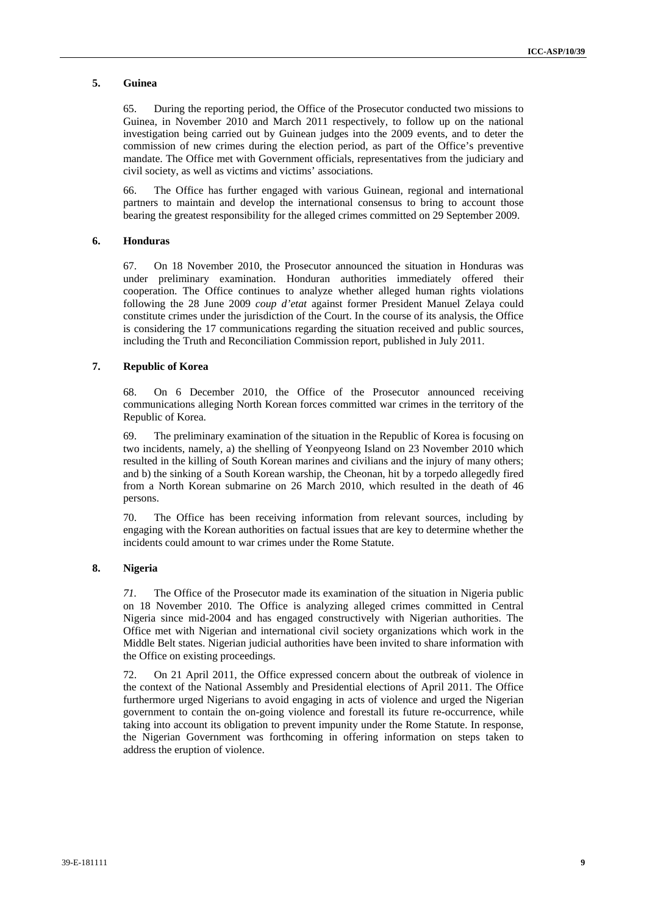#### **5. Guinea**

65. During the reporting period, the Office of the Prosecutor conducted two missions to Guinea, in November 2010 and March 2011 respectively, to follow up on the national investigation being carried out by Guinean judges into the 2009 events, and to deter the commission of new crimes during the election period, as part of the Office's preventive mandate. The Office met with Government officials, representatives from the judiciary and civil society, as well as victims and victims' associations.

66. The Office has further engaged with various Guinean, regional and international partners to maintain and develop the international consensus to bring to account those bearing the greatest responsibility for the alleged crimes committed on 29 September 2009.

#### **6. Honduras**

67. On 18 November 2010, the Prosecutor announced the situation in Honduras was under preliminary examination. Honduran authorities immediately offered their cooperation. The Office continues to analyze whether alleged human rights violations following the 28 June 2009 *coup d'etat* against former President Manuel Zelaya could constitute crimes under the jurisdiction of the Court. In the course of its analysis, the Office is considering the 17 communications regarding the situation received and public sources, including the Truth and Reconciliation Commission report, published in July 2011.

#### **7. Republic of Korea**

68. On 6 December 2010, the Office of the Prosecutor announced receiving communications alleging North Korean forces committed war crimes in the territory of the Republic of Korea.

69. The preliminary examination of the situation in the Republic of Korea is focusing on two incidents, namely, a) the shelling of Yeonpyeong Island on 23 November 2010 which resulted in the killing of South Korean marines and civilians and the injury of many others; and b) the sinking of a South Korean warship, the Cheonan, hit by a torpedo allegedly fired from a North Korean submarine on 26 March 2010, which resulted in the death of 46 persons.

70. The Office has been receiving information from relevant sources, including by engaging with the Korean authorities on factual issues that are key to determine whether the incidents could amount to war crimes under the Rome Statute.

#### **8. Nigeria**

*71.* The Office of the Prosecutor made its examination of the situation in Nigeria public on 18 November 2010. The Office is analyzing alleged crimes committed in Central Nigeria since mid-2004 and has engaged constructively with Nigerian authorities. The Office met with Nigerian and international civil society organizations which work in the Middle Belt states. Nigerian judicial authorities have been invited to share information with the Office on existing proceedings.

72. On 21 April 2011, the Office expressed concern about the outbreak of violence in the context of the National Assembly and Presidential elections of April 2011. The Office furthermore urged Nigerians to avoid engaging in acts of violence and urged the Nigerian government to contain the on-going violence and forestall its future re-occurrence, while taking into account its obligation to prevent impunity under the Rome Statute. In response, the Nigerian Government was forthcoming in offering information on steps taken to address the eruption of violence.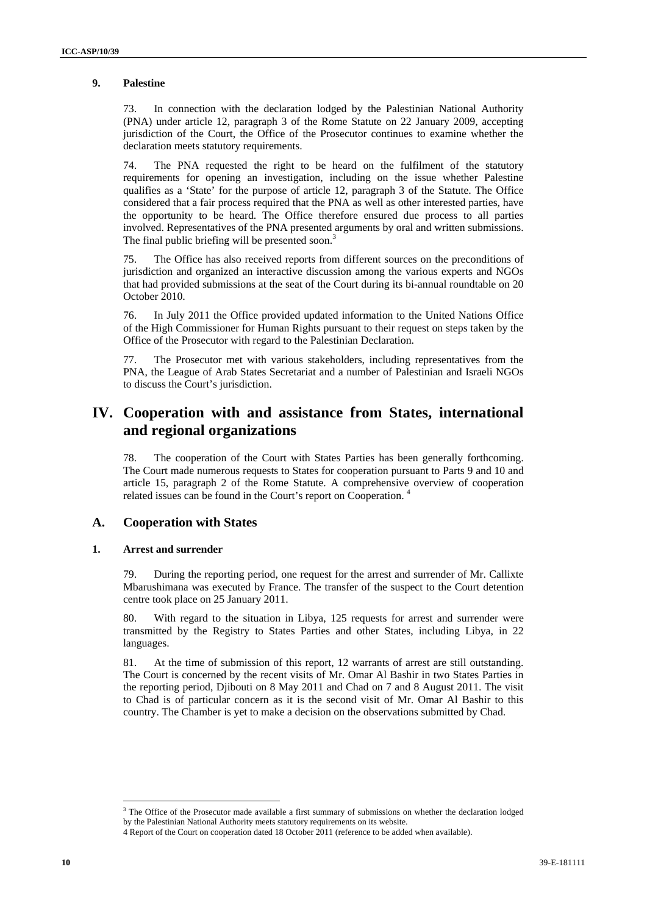#### **9. Palestine**

73. In connection with the declaration lodged by the Palestinian National Authority (PNA) under article 12, paragraph 3 of the Rome Statute on 22 January 2009, accepting jurisdiction of the Court, the Office of the Prosecutor continues to examine whether the declaration meets statutory requirements.

74. The PNA requested the right to be heard on the fulfilment of the statutory requirements for opening an investigation, including on the issue whether Palestine qualifies as a 'State' for the purpose of article 12, paragraph 3 of the Statute. The Office considered that a fair process required that the PNA as well as other interested parties, have the opportunity to be heard. The Office therefore ensured due process to all parties involved. Representatives of the PNA presented arguments by oral and written submissions. The final public briefing will be presented soon.<sup>3</sup>

75. The Office has also received reports from different sources on the preconditions of jurisdiction and organized an interactive discussion among the various experts and NGOs that had provided submissions at the seat of the Court during its bi-annual roundtable on 20 October 2010.

76. In July 2011 the Office provided updated information to the United Nations Office of the High Commissioner for Human Rights pursuant to their request on steps taken by the Office of the Prosecutor with regard to the Palestinian Declaration.

77. The Prosecutor met with various stakeholders, including representatives from the PNA, the League of Arab States Secretariat and a number of Palestinian and Israeli NGOs to discuss the Court's jurisdiction.

# **IV. Cooperation with and assistance from States, international and regional organizations**

78. The cooperation of the Court with States Parties has been generally forthcoming. The Court made numerous requests to States for cooperation pursuant to Parts 9 and 10 and article 15, paragraph 2 of the Rome Statute. A comprehensive overview of cooperation related issues can be found in the Court's report on Cooperation.

## **A. Cooperation with States**

<u> 1989 - Johann Barn, mars eta bainar eta politikaria (h. 1989).</u>

#### **1. Arrest and surrender**

79. During the reporting period, one request for the arrest and surrender of Mr. Callixte Mbarushimana was executed by France. The transfer of the suspect to the Court detention centre took place on 25 January 2011.

80. With regard to the situation in Libya, 125 requests for arrest and surrender were transmitted by the Registry to States Parties and other States, including Libya, in 22 languages.

81. At the time of submission of this report, 12 warrants of arrest are still outstanding. The Court is concerned by the recent visits of Mr. Omar Al Bashir in two States Parties in the reporting period, Djibouti on 8 May 2011 and Chad on 7 and 8 August 2011. The visit to Chad is of particular concern as it is the second visit of Mr. Omar Al Bashir to this country. The Chamber is yet to make a decision on the observations submitted by Chad.

<sup>&</sup>lt;sup>3</sup> The Office of the Prosecutor made available a first summary of submissions on whether the declaration lodged by the Palestinian National Authority meets statutory requirements on its website.

<sup>4</sup> Report of the Court on cooperation dated 18 October 2011 (reference to be added when available).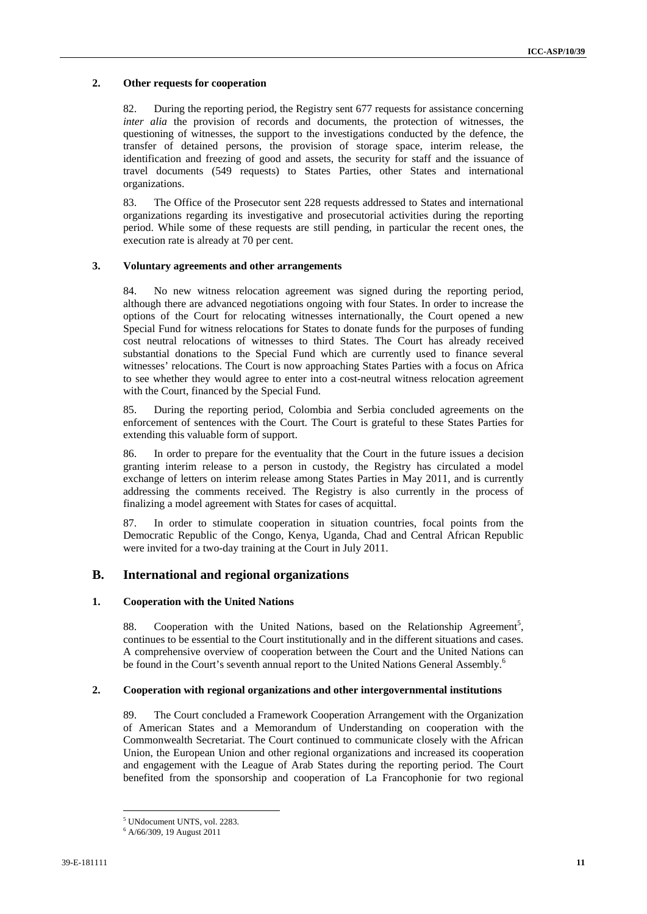#### **2. Other requests for cooperation**

82. During the reporting period, the Registry sent 677 requests for assistance concerning *inter alia* the provision of records and documents, the protection of witnesses, the questioning of witnesses, the support to the investigations conducted by the defence, the transfer of detained persons, the provision of storage space, interim release, the identification and freezing of good and assets, the security for staff and the issuance of travel documents (549 requests) to States Parties, other States and international organizations.

83. The Office of the Prosecutor sent 228 requests addressed to States and international organizations regarding its investigative and prosecutorial activities during the reporting period. While some of these requests are still pending, in particular the recent ones, the execution rate is already at 70 per cent.

#### **3. Voluntary agreements and other arrangements**

84. No new witness relocation agreement was signed during the reporting period, although there are advanced negotiations ongoing with four States. In order to increase the options of the Court for relocating witnesses internationally, the Court opened a new Special Fund for witness relocations for States to donate funds for the purposes of funding cost neutral relocations of witnesses to third States. The Court has already received substantial donations to the Special Fund which are currently used to finance several witnesses' relocations. The Court is now approaching States Parties with a focus on Africa to see whether they would agree to enter into a cost-neutral witness relocation agreement with the Court, financed by the Special Fund.

85. During the reporting period, Colombia and Serbia concluded agreements on the enforcement of sentences with the Court. The Court is grateful to these States Parties for extending this valuable form of support.

86. In order to prepare for the eventuality that the Court in the future issues a decision granting interim release to a person in custody, the Registry has circulated a model exchange of letters on interim release among States Parties in May 2011, and is currently addressing the comments received. The Registry is also currently in the process of finalizing a model agreement with States for cases of acquittal.

87. In order to stimulate cooperation in situation countries, focal points from the Democratic Republic of the Congo, Kenya, Uganda, Chad and Central African Republic were invited for a two-day training at the Court in July 2011.

# **B. International and regional organizations**

#### **1. Cooperation with the United Nations**

88. Cooperation with the United Nations, based on the Relationship Agreement<sup>5</sup>, continues to be essential to the Court institutionally and in the different situations and cases. A comprehensive overview of cooperation between the Court and the United Nations can be found in the Court's seventh annual report to the United Nations General Assembly.<sup>6</sup>

#### **2. Cooperation with regional organizations and other intergovernmental institutions**

89. The Court concluded a Framework Cooperation Arrangement with the Organization of American States and a Memorandum of Understanding on cooperation with the Commonwealth Secretariat. The Court continued to communicate closely with the African Union, the European Union and other regional organizations and increased its cooperation and engagement with the League of Arab States during the reporting period. The Court benefited from the sponsorship and cooperation of La Francophonie for two regional

<sup>5</sup> UNdocument UNTS, vol. 2283.

<sup>6</sup> A/66/309, 19 August 2011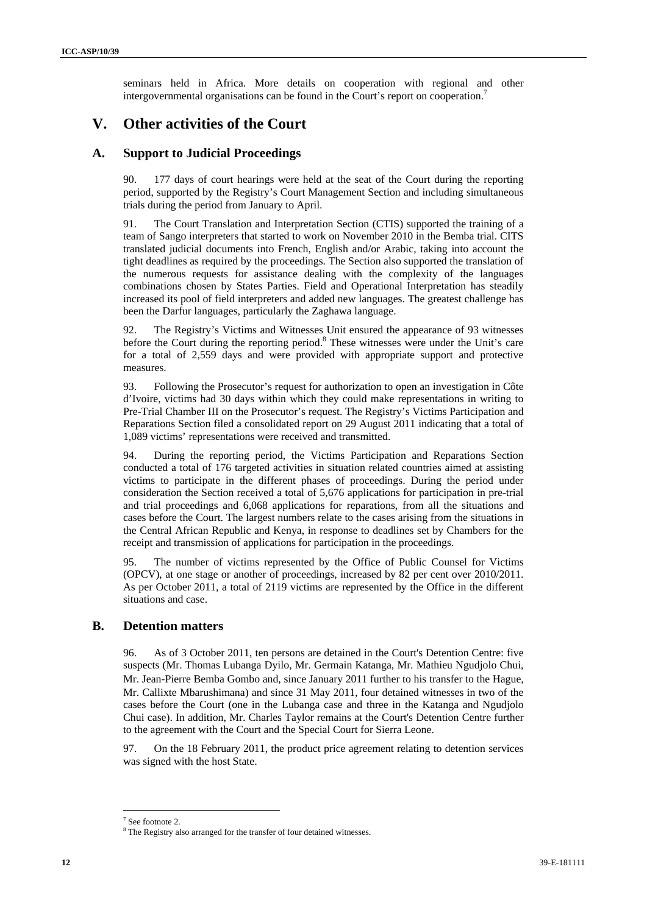seminars held in Africa. More details on cooperation with regional and other intergovernmental organisations can be found in the Court's report on cooperation.<sup>7</sup>

# **V. Other activities of the Court**

# **A. Support to Judicial Proceedings**

90. 177 days of court hearings were held at the seat of the Court during the reporting period, supported by the Registry's Court Management Section and including simultaneous trials during the period from January to April.

91. The Court Translation and Interpretation Section (CTIS) supported the training of a team of Sango interpreters that started to work on November 2010 in the Bemba trial. CITS translated judicial documents into French, English and/or Arabic, taking into account the tight deadlines as required by the proceedings. The Section also supported the translation of the numerous requests for assistance dealing with the complexity of the languages combinations chosen by States Parties. Field and Operational Interpretation has steadily increased its pool of field interpreters and added new languages. The greatest challenge has been the Darfur languages, particularly the Zaghawa language.

92. The Registry's Victims and Witnesses Unit ensured the appearance of 93 witnesses before the Court during the reporting period.<sup>8</sup> These witnesses were under the Unit's care for a total of 2,559 days and were provided with appropriate support and protective measures.

93. Following the Prosecutor's request for authorization to open an investigation in Côte d'Ivoire, victims had 30 days within which they could make representations in writing to Pre-Trial Chamber III on the Prosecutor's request. The Registry's Victims Participation and Reparations Section filed a consolidated report on 29 August 2011 indicating that a total of 1,089 victims' representations were received and transmitted.

94. During the reporting period, the Victims Participation and Reparations Section conducted a total of 176 targeted activities in situation related countries aimed at assisting victims to participate in the different phases of proceedings. During the period under consideration the Section received a total of 5,676 applications for participation in pre-trial and trial proceedings and 6,068 applications for reparations, from all the situations and cases before the Court. The largest numbers relate to the cases arising from the situations in the Central African Republic and Kenya, in response to deadlines set by Chambers for the receipt and transmission of applications for participation in the proceedings.

95. The number of victims represented by the Office of Public Counsel for Victims (OPCV), at one stage or another of proceedings, increased by 82 per cent over 2010/2011. As per October 2011, a total of 2119 victims are represented by the Office in the different situations and case.

# **B. Detention matters**

96. As of 3 October 2011, ten persons are detained in the Court's Detention Centre: five suspects (Mr. Thomas Lubanga Dyilo, Mr. Germain Katanga, Mr. Mathieu Ngudjolo Chui, Mr. Jean‐Pierre Bemba Gombo and, since January 2011 further to his transfer to the Hague, Mr. Callixte Mbarushimana) and since 31 May 2011, four detained witnesses in two of the cases before the Court (one in the Lubanga case and three in the Katanga and Ngudjolo Chui case). In addition, Mr. Charles Taylor remains at the Court's Detention Centre further to the agreement with the Court and the Special Court for Sierra Leone.

97. On the 18 February 2011, the product price agreement relating to detention services was signed with the host State.

<sup>7</sup> See footnote 2.

<sup>&</sup>lt;sup>8</sup> The Registry also arranged for the transfer of four detained witnesses.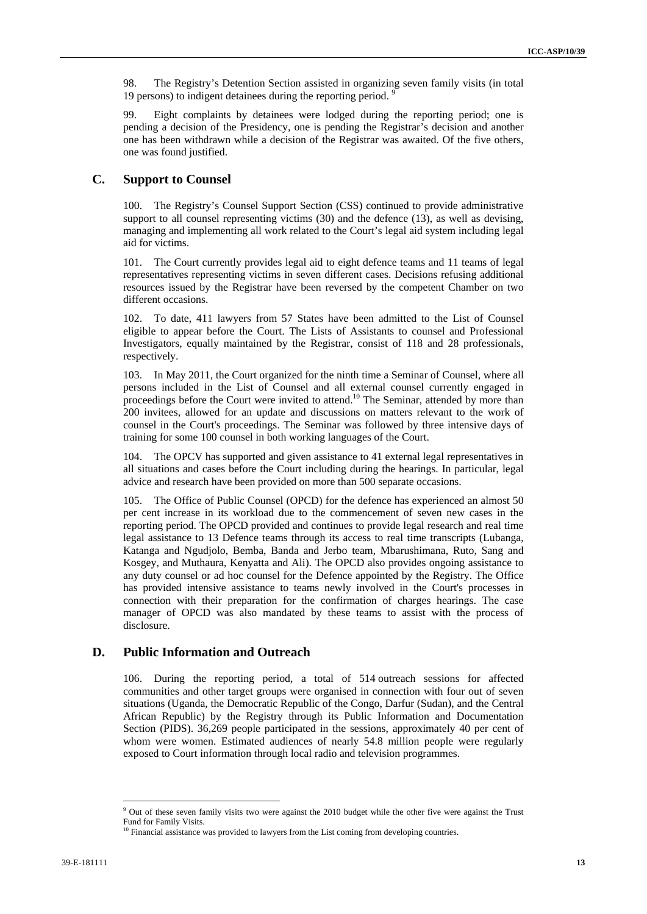98. The Registry's Detention Section assisted in organizing seven family visits (in total 19 persons) to indigent detainees during the reporting period. 9

99. Eight complaints by detainees were lodged during the reporting period; one is pending a decision of the Presidency, one is pending the Registrar's decision and another one has been withdrawn while a decision of the Registrar was awaited. Of the five others, one was found justified.

# **C. Support to Counsel**

100. The Registry's Counsel Support Section (CSS) continued to provide administrative support to all counsel representing victims (30) and the defence (13), as well as devising, managing and implementing all work related to the Court's legal aid system including legal aid for victims.

101. The Court currently provides legal aid to eight defence teams and 11 teams of legal representatives representing victims in seven different cases. Decisions refusing additional resources issued by the Registrar have been reversed by the competent Chamber on two different occasions.

102. To date, 411 lawyers from 57 States have been admitted to the List of Counsel eligible to appear before the Court. The Lists of Assistants to counsel and Professional Investigators, equally maintained by the Registrar, consist of 118 and 28 professionals, respectively.

103. In May 2011, the Court organized for the ninth time a Seminar of Counsel, where all persons included in the List of Counsel and all external counsel currently engaged in proceedings before the Court were invited to attend.<sup>10</sup> The Seminar, attended by more than 200 invitees, allowed for an update and discussions on matters relevant to the work of counsel in the Court's proceedings. The Seminar was followed by three intensive days of training for some 100 counsel in both working languages of the Court.

104. The OPCV has supported and given assistance to 41 external legal representatives in all situations and cases before the Court including during the hearings. In particular, legal advice and research have been provided on more than 500 separate occasions.

105. The Office of Public Counsel (OPCD) for the defence has experienced an almost 50 per cent increase in its workload due to the commencement of seven new cases in the reporting period. The OPCD provided and continues to provide legal research and real time legal assistance to 13 Defence teams through its access to real time transcripts (Lubanga, Katanga and Ngudjolo, Bemba, Banda and Jerbo team, Mbarushimana, Ruto, Sang and Kosgey, and Muthaura, Kenyatta and Ali). The OPCD also provides ongoing assistance to any duty counsel or ad hoc counsel for the Defence appointed by the Registry. The Office has provided intensive assistance to teams newly involved in the Court's processes in connection with their preparation for the confirmation of charges hearings. The case manager of OPCD was also mandated by these teams to assist with the process of disclosure.

# **D. Public Information and Outreach**

<u> 1989 - Johann Barn, mars eta bainar eta politikaria (h. 1989).</u>

106. During the reporting period, a total of 514 outreach sessions for affected communities and other target groups were organised in connection with four out of seven situations (Uganda, the Democratic Republic of the Congo, Darfur (Sudan), and the Central African Republic) by the Registry through its Public Information and Documentation Section (PIDS). 36,269 people participated in the sessions, approximately 40 per cent of whom were women. Estimated audiences of nearly 54.8 million people were regularly exposed to Court information through local radio and television programmes.

<sup>&</sup>lt;sup>9</sup> Out of these seven family visits two were against the 2010 budget while the other five were against the Trust Fund for Family Visits.

<sup>&</sup>lt;sup>10</sup> Financial assistance was provided to lawyers from the List coming from developing countries.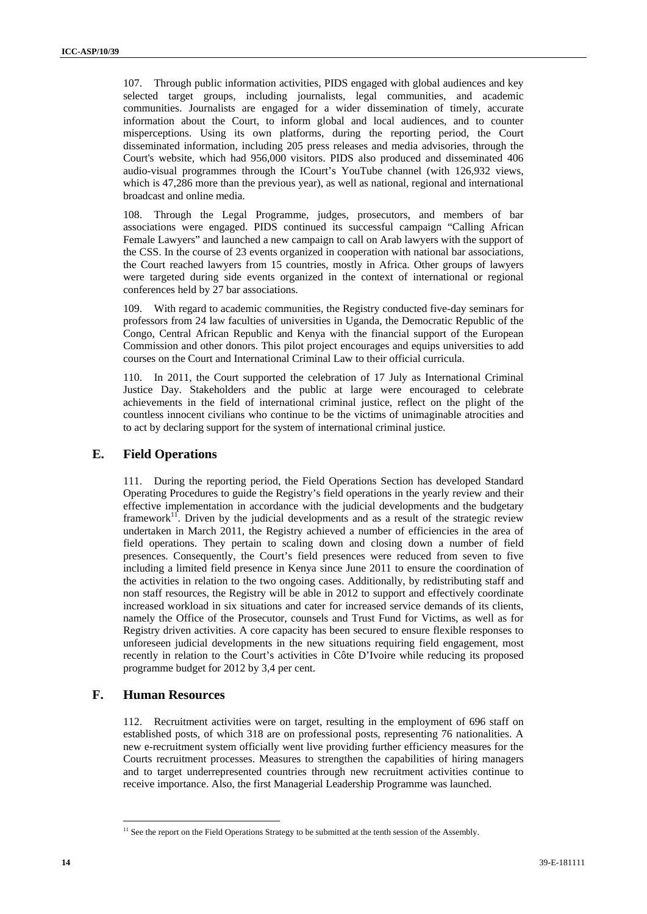107. Through public information activities, PIDS engaged with global audiences and key selected target groups, including journalists, legal communities, and academic communities. Journalists are engaged for a wider dissemination of timely, accurate information about the Court, to inform global and local audiences, and to counter misperceptions. Using its own platforms, during the reporting period, the Court disseminated information, including 205 press releases and media advisories, through the Court's website, which had 956,000 visitors. PIDS also produced and disseminated 406 audio-visual programmes through the ICourt's YouTube channel (with 126,932 views, which is 47,286 more than the previous year), as well as national, regional and international broadcast and online media.

108. Through the Legal Programme, judges, prosecutors, and members of bar associations were engaged. PIDS continued its successful campaign "Calling African Female Lawyers" and launched a new campaign to call on Arab lawyers with the support of the CSS. In the course of 23 events organized in cooperation with national bar associations, the Court reached lawyers from 15 countries, mostly in Africa. Other groups of lawyers were targeted during side events organized in the context of international or regional conferences held by 27 bar associations.

109. With regard to academic communities, the Registry conducted five-day seminars for professors from 24 law faculties of universities in Uganda, the Democratic Republic of the Congo, Central African Republic and Kenya with the financial support of the European Commission and other donors. This pilot project encourages and equips universities to add courses on the Court and International Criminal Law to their official curricula.

110. In 2011, the Court supported the celebration of 17 July as International Criminal Justice Day. Stakeholders and the public at large were encouraged to celebrate achievements in the field of international criminal justice, reflect on the plight of the countless innocent civilians who continue to be the victims of unimaginable atrocities and to act by declaring support for the system of international criminal justice.

# **E. Field Operations**

111. During the reporting period, the Field Operations Section has developed Standard Operating Procedures to guide the Registry's field operations in the yearly review and their effective implementation in accordance with the judicial developments and the budgetary framework $1$ <sup>1</sup>. Driven by the judicial developments and as a result of the strategic review undertaken in March 2011, the Registry achieved a number of efficiencies in the area of field operations. They pertain to scaling down and closing down a number of field presences. Consequently, the Court's field presences were reduced from seven to five including a limited field presence in Kenya since June 2011 to ensure the coordination of the activities in relation to the two ongoing cases. Additionally, by redistributing staff and non staff resources, the Registry will be able in 2012 to support and effectively coordinate increased workload in six situations and cater for increased service demands of its clients, namely the Office of the Prosecutor, counsels and Trust Fund for Victims, as well as for Registry driven activities. A core capacity has been secured to ensure flexible responses to unforeseen judicial developments in the new situations requiring field engagement, most recently in relation to the Court's activities in Côte D'Ivoire while reducing its proposed programme budget for 2012 by 3,4 per cent.

# **F. Human Resources**

<u> 1989 - Johann Barn, mars eta bainar eta politikaria (h. 1989).</u>

112. Recruitment activities were on target, resulting in the employment of 696 staff on established posts, of which 318 are on professional posts, representing 76 nationalities. A new e-recruitment system officially went live providing further efficiency measures for the Courts recruitment processes. Measures to strengthen the capabilities of hiring managers and to target underrepresented countries through new recruitment activities continue to receive importance. Also, the first Managerial Leadership Programme was launched.

 $11$  See the report on the Field Operations Strategy to be submitted at the tenth session of the Assembly.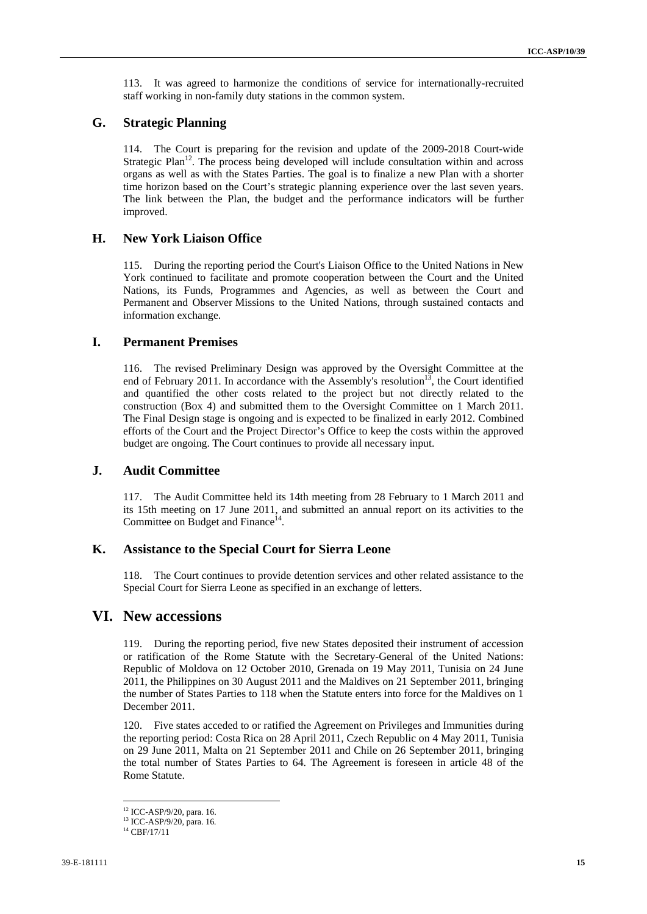113. It was agreed to harmonize the conditions of service for internationally-recruited staff working in non-family duty stations in the common system.

# **G. Strategic Planning**

114. The Court is preparing for the revision and update of the 2009-2018 Court-wide Strategic Plan<sup>12</sup>. The process being developed will include consultation within and across organs as well as with the States Parties. The goal is to finalize a new Plan with a shorter time horizon based on the Court's strategic planning experience over the last seven years. The link between the Plan, the budget and the performance indicators will be further improved.

# **H. New York Liaison Office**

115. During the reporting period the Court's Liaison Office to the United Nations in New York continued to facilitate and promote cooperation between the Court and the United Nations, its Funds, Programmes and Agencies, as well as between the Court and Permanent and Observer Missions to the United Nations, through sustained contacts and information exchange.

# **I. Permanent Premises**

116. The revised Preliminary Design was approved by the Oversight Committee at the end of February 2011. In accordance with the Assembly's resolution<sup>13</sup>, the Court identified and quantified the other costs related to the project but not directly related to the construction (Box 4) and submitted them to the Oversight Committee on 1 March 2011. The Final Design stage is ongoing and is expected to be finalized in early 2012. Combined efforts of the Court and the Project Director's Office to keep the costs within the approved budget are ongoing. The Court continues to provide all necessary input.

# **J. Audit Committee**

117. The Audit Committee held its 14th meeting from 28 February to 1 March 2011 and its 15th meeting on 17 June 2011, and submitted an annual report on its activities to the Committee on Budget and Finance<sup>14</sup>.

## **K. Assistance to the Special Court for Sierra Leone**

118. The Court continues to provide detention services and other related assistance to the Special Court for Sierra Leone as specified in an exchange of letters.

# **VI. New accessions**

119. During the reporting period, five new States deposited their instrument of accession or ratification of the Rome Statute with the Secretary-General of the United Nations: Republic of Moldova on 12 October 2010, Grenada on 19 May 2011, Tunisia on 24 June 2011, the Philippines on 30 August 2011 and the Maldives on 21 September 2011, bringing the number of States Parties to 118 when the Statute enters into force for the Maldives on 1 December 2011.

120. Five states acceded to or ratified the Agreement on Privileges and Immunities during the reporting period: Costa Rica on 28 April 2011, Czech Republic on 4 May 2011, Tunisia on 29 June 2011, Malta on 21 September 2011 and Chile on 26 September 2011, bringing the total number of States Parties to 64. The Agreement is foreseen in article 48 of the Rome Statute.

<sup>&</sup>lt;sup>12</sup> ICC-ASP/9/20, para. 16.

<sup>13</sup> ICC-ASP/9/20, para. 16*.*

 $14$  CBF/17/11